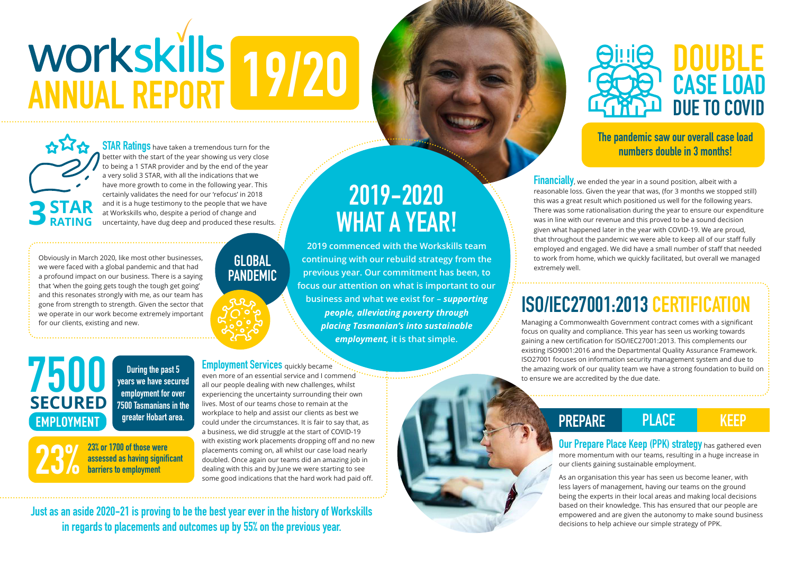## **2019-2020 WHAT A YEAR!**

**2019 commenced with the Workskills team continuing with our rebuild strategy from the previous year. Our commitment has been, to focus our attention on what is important to our business and what we exist for –** *supporting people, alleviating poverty through placing Tasmanian's into sustainable employment,* **it is that simple.**

**Our Prepare Place Keep (PPK) strategy** has gathered even more momentum with our teams, resulting in a huge increase in our clients gaining sustainable employment.

As an organisation this year has seen us become leaner, with less layers of management, having our teams on the ground being the experts in their local areas and making local decisions based on their knowledge. This has ensured that our people are empowered and are given the autonomy to make sound business decisions to help achieve our simple strategy of PPK.

**Financially**, we ended the year in a sound position, albeit with a reasonable loss. Given the year that was, (for 3 months we stopped still) this was a great result which positioned us well for the following years. There was some rationalisation during the year to ensure our expenditure was in line with our revenue and this proved to be a sound decision given what happened later in the year with COVID-19. We are proud, that throughout the pandemic we were able to keep all of our staff fully employed and engaged. We did have a small number of staff that needed to work from home, which we quickly facilitated, but overall we managed extremely well.

**STAR Ratings** have taken a tremendous turn for the better with the start of the year showing us very close to being a 1 STAR provider and by the end of the year a very solid 3 STAR, with all the indications that we have more growth to come in the following year. This certainly validates the need for our 'refocus' in 2018 and it is a huge testimony to the people that we have at Workskills who, despite a period of change and uncertainty, have dug deep and produced these results.

> Managing a Commonwealth Government contract comes with a significant focus on quality and compliance. This year has seen us working towards gaining a new certification for ISO/IEC27001:2013. This complements our existing ISO9001:2016 and the Departmental Quality Assurance Framework. ISO27001 focuses on information security management system and due to the amazing work of our quality team we have a strong foundation to build on to ensure we are accredited by the due date.

## **DOUB CASE LOAD DUE TO COVID**

Obviously in March 2020, like most other businesses, we were faced with a global pandemic and that had a profound impact on our business. There is a saying that 'when the going gets tough the tough get going' and this resonates strongly with me, as our team has gone from strength to strength. Given the sector that we operate in our work become extremely important for our clients, existing and new.

> even more of an essential service and I commend all our people dealing with new challenges, whilst experiencing the uncertainty surrounding their own lives. Most of our teams chose to remain at the workplace to help and assist our clients as best we could under the circumstances. It is fair to say that, as a business, we did struggle at the start of COVID-19 with existing work placements dropping off and no new placements coming on, all whilst our case load nearly doubled. Once again our teams did an amazing job in dealing with this and by June we were starting to see some good indications that the hard work had paid off.

**3**

**STAR**

**RATING**

## **7500 EMPLOYMENT SECURED**

**During the past 5 years we have secured employment for over 7500 Tasmanians in the greater Hobart area.**

**23% or 1700 of those were assessed as having significant 23% barriers to employment**

#### **Employment Services** quickly became

**Just as an aside 2020-21 is proving to be the best year ever in the history of Workskills in regards to placements and outcomes up by 55% on the previous year.** 

# **ANNUAL REPORT 19/20**

### **GLOBAL PANDEMIC**



**The pandemic saw our overall case load numbers double in 3 months!**

## **ISO/IEC27001:2013 CERTIFICATION**

### **PREPARE PLACE KEEP**